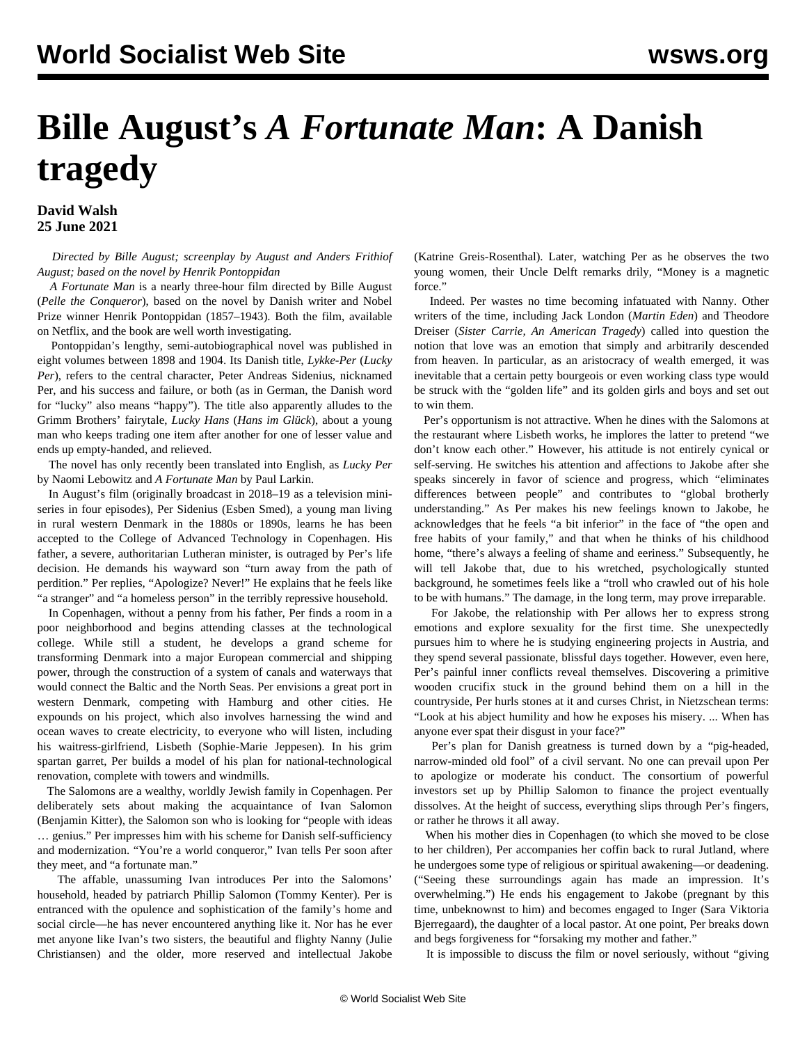## **Bille August's** *A Fortunate Man***: A Danish tragedy**

**David Walsh 25 June 2021**

 *Directed by Bille August; screenplay by August and Anders Frithiof August; based on the novel by Henrik Pontoppidan*

 *A Fortunate Man* is a nearly three-hour film directed by Bille August (*Pelle the Conqueror*), based on the novel by Danish writer and Nobel Prize winner Henrik Pontoppidan (1857–1943). Both the film, available on Netflix, and the book are well worth investigating.

 Pontoppidan's lengthy, semi-autobiographical novel was published in eight volumes between 1898 and 1904. Its Danish title, *Lykke-Per* (*Lucky Per*), refers to the central character, Peter Andreas Sidenius, nicknamed Per, and his success and failure, or both (as in German, the Danish word for "lucky" also means "happy"). The title also apparently alludes to the Grimm Brothers' fairytale, *Lucky Hans* (*Hans im Glück*), about a young man who keeps trading one item after another for one of lesser value and ends up empty-handed, and relieved.

 The novel has only recently been translated into English, as *Lucky Per* by Naomi Lebowitz and *A Fortunate Man* by Paul Larkin.

 In August's film (originally broadcast in 2018–19 as a television miniseries in four episodes), Per Sidenius (Esben Smed), a young man living in rural western Denmark in the 1880s or 1890s, learns he has been accepted to the College of Advanced Technology in Copenhagen. His father, a severe, authoritarian Lutheran minister, is outraged by Per's life decision. He demands his wayward son "turn away from the path of perdition." Per replies, "Apologize? Never!" He explains that he feels like "a stranger" and "a homeless person" in the terribly repressive household.

 In Copenhagen, without a penny from his father, Per finds a room in a poor neighborhood and begins attending classes at the technological college. While still a student, he develops a grand scheme for transforming Denmark into a major European commercial and shipping power, through the construction of a system of canals and waterways that would connect the Baltic and the North Seas. Per envisions a great port in western Denmark, competing with Hamburg and other cities. He expounds on his project, which also involves harnessing the wind and ocean waves to create electricity, to everyone who will listen, including his waitress-girlfriend, Lisbeth (Sophie-Marie Jeppesen). In his grim spartan garret, Per builds a model of his plan for national-technological renovation, complete with towers and windmills.

 The Salomons are a wealthy, worldly Jewish family in Copenhagen. Per deliberately sets about making the acquaintance of Ivan Salomon (Benjamin Kitter), the Salomon son who is looking for "people with ideas … genius." Per impresses him with his scheme for Danish self-sufficiency and modernization. "You're a world conqueror," Ivan tells Per soon after they meet, and "a fortunate man."

 The affable, unassuming Ivan introduces Per into the Salomons' household, headed by patriarch Phillip Salomon (Tommy Kenter). Per is entranced with the opulence and sophistication of the family's home and social circle—he has never encountered anything like it. Nor has he ever met anyone like Ivan's two sisters, the beautiful and flighty Nanny (Julie Christiansen) and the older, more reserved and intellectual Jakobe

(Katrine Greis-Rosenthal). Later, watching Per as he observes the two young women, their Uncle Delft remarks drily, "Money is a magnetic force."

 Indeed. Per wastes no time becoming infatuated with Nanny. Other writers of the time, including Jack London (*Martin Eden*) and Theodore Dreiser (*Sister Carrie, An American Tragedy*) called into question the notion that love was an emotion that simply and arbitrarily descended from heaven. In particular, as an aristocracy of wealth emerged, it was inevitable that a certain petty bourgeois or even working class type would be struck with the "golden life" and its golden girls and boys and set out to win them.

 Per's opportunism is not attractive. When he dines with the Salomons at the restaurant where Lisbeth works, he implores the latter to pretend "we don't know each other." However, his attitude is not entirely cynical or self-serving. He switches his attention and affections to Jakobe after she speaks sincerely in favor of science and progress, which "eliminates differences between people" and contributes to "global brotherly understanding." As Per makes his new feelings known to Jakobe, he acknowledges that he feels "a bit inferior" in the face of "the open and free habits of your family," and that when he thinks of his childhood home, "there's always a feeling of shame and eeriness." Subsequently, he will tell Jakobe that, due to his wretched, psychologically stunted background, he sometimes feels like a "troll who crawled out of his hole to be with humans." The damage, in the long term, may prove irreparable.

 For Jakobe, the relationship with Per allows her to express strong emotions and explore sexuality for the first time. She unexpectedly pursues him to where he is studying engineering projects in Austria, and they spend several passionate, blissful days together. However, even here, Per's painful inner conflicts reveal themselves. Discovering a primitive wooden crucifix stuck in the ground behind them on a hill in the countryside, Per hurls stones at it and curses Christ, in Nietzschean terms: "Look at his abject humility and how he exposes his misery. ... When has anyone ever spat their disgust in your face?"

 Per's plan for Danish greatness is turned down by a "pig-headed, narrow-minded old fool" of a civil servant. No one can prevail upon Per to apologize or moderate his conduct. The consortium of powerful investors set up by Phillip Salomon to finance the project eventually dissolves. At the height of success, everything slips through Per's fingers, or rather he throws it all away.

 When his mother dies in Copenhagen (to which she moved to be close to her children), Per accompanies her coffin back to rural Jutland, where he undergoes some type of religious or spiritual awakening—or deadening. ("Seeing these surroundings again has made an impression. It's overwhelming.") He ends his engagement to Jakobe (pregnant by this time, unbeknownst to him) and becomes engaged to Inger (Sara Viktoria Bjerregaard), the daughter of a local pastor. At one point, Per breaks down and begs forgiveness for "forsaking my mother and father."

It is impossible to discuss the film or novel seriously, without "giving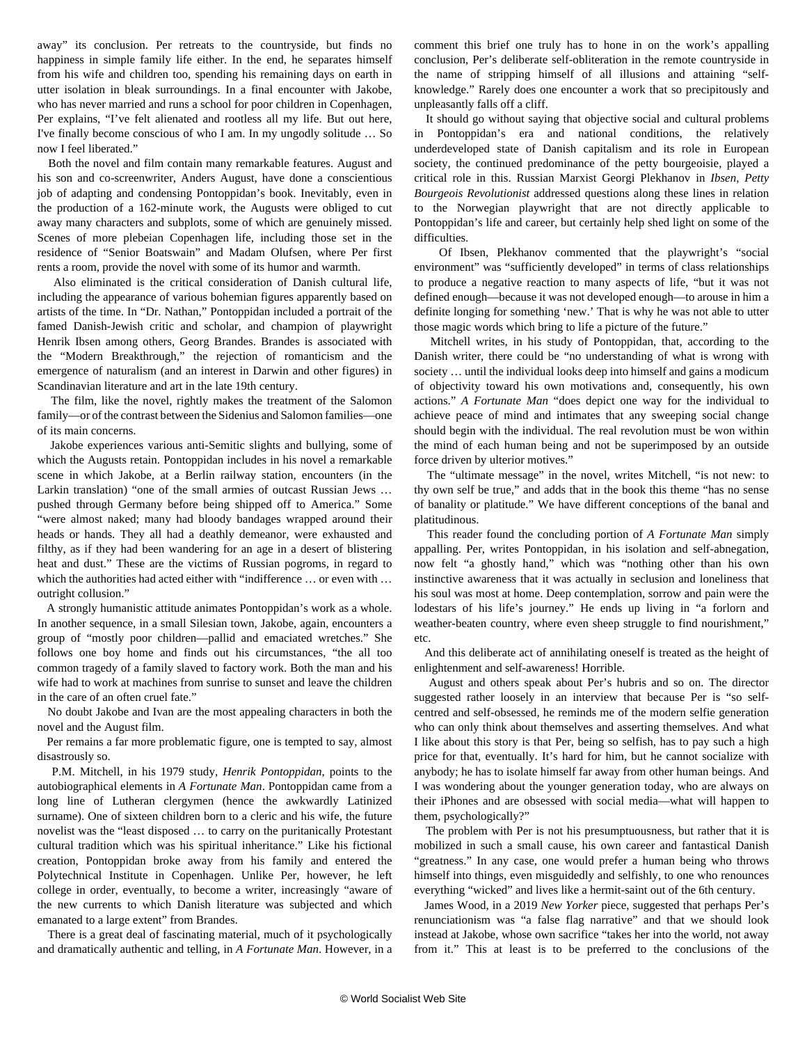away" its conclusion. Per retreats to the countryside, but finds no happiness in simple family life either. In the end, he separates himself from his wife and children too, spending his remaining days on earth in utter isolation in bleak surroundings. In a final encounter with Jakobe, who has never married and runs a school for poor children in Copenhagen, Per explains, "I've felt alienated and rootless all my life. But out here, I've finally become conscious of who I am. In my ungodly solitude … So now I feel liberated."

 Both the novel and film contain many remarkable features. August and his son and co-screenwriter, Anders August, have done a conscientious job of adapting and condensing Pontoppidan's book. Inevitably, even in the production of a 162-minute work, the Augusts were obliged to cut away many characters and subplots, some of which are genuinely missed. Scenes of more plebeian Copenhagen life, including those set in the residence of "Senior Boatswain" and Madam Olufsen, where Per first rents a room, provide the novel with some of its humor and warmth.

 Also eliminated is the critical consideration of Danish cultural life, including the appearance of various bohemian figures apparently based on artists of the time. In "Dr. Nathan," Pontoppidan included a portrait of the famed Danish-Jewish critic and scholar, and champion of playwright Henrik Ibsen among others, Georg Brandes. Brandes is associated with the "Modern Breakthrough," the rejection of romanticism and the emergence of naturalism (and an interest in Darwin and other figures) in Scandinavian literature and art in the late 19th century.

 The film, like the novel, rightly makes the treatment of the Salomon family—or of the contrast between the Sidenius and Salomon families—one of its main concerns.

 Jakobe experiences various anti-Semitic slights and bullying, some of which the Augusts retain. Pontoppidan includes in his novel a remarkable scene in which Jakobe, at a Berlin railway station, encounters (in the Larkin translation) "one of the small armies of outcast Russian Jews … pushed through Germany before being shipped off to America." Some "were almost naked; many had bloody bandages wrapped around their heads or hands. They all had a deathly demeanor, were exhausted and filthy, as if they had been wandering for an age in a desert of blistering heat and dust." These are the victims of Russian pogroms, in regard to which the authorities had acted either with "indifference ... or even with ... outright collusion."

 A strongly humanistic attitude animates Pontoppidan's work as a whole. In another sequence, in a small Silesian town, Jakobe, again, encounters a group of "mostly poor children—pallid and emaciated wretches." She follows one boy home and finds out his circumstances, "the all too common tragedy of a family slaved to factory work. Both the man and his wife had to work at machines from sunrise to sunset and leave the children in the care of an often cruel fate."

 No doubt Jakobe and Ivan are the most appealing characters in both the novel and the August film.

 Per remains a far more problematic figure, one is tempted to say, almost disastrously so.

 P.M. Mitchell, in his 1979 study, *Henrik Pontoppidan*, points to the autobiographical elements in *A Fortunate Man*. Pontoppidan came from a long line of Lutheran clergymen (hence the awkwardly Latinized surname). One of sixteen children born to a cleric and his wife, the future novelist was the "least disposed … to carry on the puritanically Protestant cultural tradition which was his spiritual inheritance." Like his fictional creation, Pontoppidan broke away from his family and entered the Polytechnical Institute in Copenhagen. Unlike Per, however, he left college in order, eventually, to become a writer, increasingly "aware of the new currents to which Danish literature was subjected and which emanated to a large extent" from Brandes.

 There is a great deal of fascinating material, much of it psychologically and dramatically authentic and telling, in *A Fortunate Man*. However, in a

comment this brief one truly has to hone in on the work's appalling conclusion, Per's deliberate self-obliteration in the remote countryside in the name of stripping himself of all illusions and attaining "selfknowledge." Rarely does one encounter a work that so precipitously and unpleasantly falls off a cliff.

 It should go without saying that objective social and cultural problems in Pontoppidan's era and national conditions, the relatively underdeveloped state of Danish capitalism and its role in European society, the continued predominance of the petty bourgeoisie, played a critical role in this. Russian Marxist Georgi Plekhanov in *Ibsen, Petty Bourgeois Revolutionist* addressed questions along these lines in relation to the Norwegian playwright that are not directly applicable to Pontoppidan's life and career, but certainly help shed light on some of the difficulties.

 Of Ibsen, Plekhanov commented that the playwright's "social environment" was "sufficiently developed" in terms of class relationships to produce a negative reaction to many aspects of life, "but it was not defined enough—because it was not developed enough—to arouse in him a definite longing for something 'new.' That is why he was not able to utter those magic words which bring to life a picture of the future."

 Mitchell writes, in his study of Pontoppidan, that, according to the Danish writer, there could be "no understanding of what is wrong with society … until the individual looks deep into himself and gains a modicum of objectivity toward his own motivations and, consequently, his own actions." *A Fortunate Man* "does depict one way for the individual to achieve peace of mind and intimates that any sweeping social change should begin with the individual. The real revolution must be won within the mind of each human being and not be superimposed by an outside force driven by ulterior motives."

 The "ultimate message" in the novel, writes Mitchell, "is not new: to thy own self be true," and adds that in the book this theme "has no sense of banality or platitude." We have different conceptions of the banal and platitudinous.

 This reader found the concluding portion of *A Fortunate Man* simply appalling. Per, writes Pontoppidan, in his isolation and self-abnegation, now felt "a ghostly hand," which was "nothing other than his own instinctive awareness that it was actually in seclusion and loneliness that his soul was most at home. Deep contemplation, sorrow and pain were the lodestars of his life's journey." He ends up living in "a forlorn and weather-beaten country, where even sheep struggle to find nourishment," etc.

 And this deliberate act of annihilating oneself is treated as the height of enlightenment and self-awareness! Horrible.

 August and others speak about Per's hubris and so on. The director suggested rather loosely in an interview that because Per is "so selfcentred and self-obsessed, he reminds me of the modern selfie generation who can only think about themselves and asserting themselves. And what I like about this story is that Per, being so selfish, has to pay such a high price for that, eventually. It's hard for him, but he cannot socialize with anybody; he has to isolate himself far away from other human beings. And I was wondering about the younger generation today, who are always on their iPhones and are obsessed with social media—what will happen to them, psychologically?"

 The problem with Per is not his presumptuousness, but rather that it is mobilized in such a small cause, his own career and fantastical Danish "greatness." In any case, one would prefer a human being who throws himself into things, even misguidedly and selfishly, to one who renounces everything "wicked" and lives like a hermit-saint out of the 6th century.

 James Wood, in a 2019 *New Yorker* piece, suggested that perhaps Per's renunciationism was "a false flag narrative" and that we should look instead at Jakobe, whose own sacrifice "takes her into the world, not away from it." This at least is to be preferred to the conclusions of the